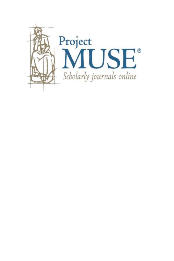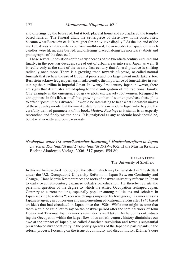and offerings by the bereaved, but it took place at home and so displaced the templebased funeral. The funeral altar, the centerpiece of these new home-based rites, became what Bernstein calls "a magnet for innovative display." At the top end of the market, it was a fabulously expensive multitiered, flower-bedecked space on which candles were lit, incense burned, and offerings placed, alongside mortuary tablets and photographs of the deceased.

These several innovations of the early decades of the twentieth century endured and finally, in the postwar decades, spread out of urban areas into rural Japan as well. It is really only at the start of the twenty-first century that funeral practice is shifting radically once more. There is a growing trend towards  $shizens\bar{o}$ , so-called natural funerals that eschew the use of Buddhist priests and to a large extent undertakers, too. Bernstein acknowledges, perhaps insufficiently, the importance of funeral rites in sustaining the patriline in imperial Japan. In twenty-first century Japan, however, there are signs that death rites are adapting to the disintegration of the traditional family. One example is the emergence of grave plots exclusively for women. Resigned to unhappiness in this life, a small but growing number of women purchase these plots to effect "posthumous divorce." It would be interesting to hear what Bernstein makes of these developments, but they—like state funerals in modern Japan—lie beyond the carefully defined parameters of his book. *Modern Passings* as it stands is an expertly researched and finely written book. It is analytical as any academic book should be, but it is also witty and compassionate.

Neubeginn unter US-amerikanischer Besatzung? Hochschulreform in Japan zwischen Kontinuität und Diskontinuität 1919–1952. Hans Martin Krämer. Berlin: Akademie Verlag, 2006. 317 pages. €54.80.

> HARALD FUESS The University of Sheffield

In this well-researched monograph, the title of which may be translated as "Fresh Start under the U.S. Occupation? University Reforms in Japan Between Continuity and Change," Hans Martin Krämer traces the roots of postwar university reforms in Japan to early twentieth-century Japanese debates on education. He thereby revisits the perennial question of the degree to which the Allied Occupation reshaped Japan. Contrary to current notions, especially popular among politicians and scholars in Japan seeking to redress "excessive changes imposed by foreigners," Krämer stresses Japanese agency in conceiving and implementing educational reform after 1945 based on ideas that had circulated in Japan since the 1920s. While one might assume that there would be little left to say on the postwar period after the seminal work of John Dower and Takemae Eiji, Krämer's reminder is well taken. As he points out, situating the Occupation within the larger flow of twentieth-century history diminishes our awe at the impact of Japan's so-called American revolution and reveals substantial prewar-to-postwar continuity in the policy agendas of the Japanese participants in the reform process. Focusing on the issue of continuity and discontinuity, Krämer's core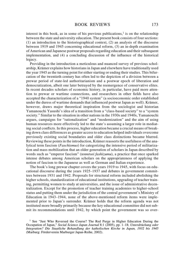interest in this book, as in some of his previous publications, $<sup>1</sup>$  is on the relationship</sup> between the state and university education. The present book consists of four sections: (1) an introduction to the historiographical context, (2) an analysis of the discourse between 1919 and 1945 concerning educational reform, (3) an in-depth examination of American and Japanese postwar proposals regarding education and their subsequent implementation, and (4) a concluding discussion of the influence of the historical legacy.

Providing in the introduction a meticulous and nuanced survey of previous scholarship, Krämer explains how historians in Japan and elsewhere have traditionally used the year 1945 as the turning point for either starting or ending their studies. This bifurcation of the twentieth century has often led to the depiction of a division between a prewar period of state-led authoritarianism and a postwar epoch of liberation and democratization, albeit one later betrayed by the reemergence of conservative elites. In recent decades scholars of economic history, in particular, have paid more attention to prewar or wartime connections, and researchers in other fields have also accepted the characterization of a "1940 system" (a socioeconomic order established under the duress of wartime demands that influenced postwar Japan as well). Krämer, however, draws major theoretical inspiration from the sociologist and historian Yamanouchi Yasushi's idea of a transition from a "class-based society" to a "system society." Similar to the situation in other nations in the 1930s and 1940s, Yamanouchi argues, campaigns for "rationalization" and "modernization" and the aim of using human resources more effectively led to the state's assuming a larger role in mediating social conflicts. In this process, higher education became a crucial means of breaking down class differences as greater access to education helped individuals overcome previously existing social boundaries and older class distinctions became blurred. Reviewing these points in the introduction, Krämer reasserts the usefulness of the analytical term fascism (Faschismus) for categorizing the intensive period of militarization and mass mobilization that an older generation of scholars in Japan described by words such as "emperor fascism" (tennôsei fashizumu), a practice that once sparked intense debates among American scholars on the appropriateness of applying the notion of fascism to the Japanese as well as German and Italian experience.

The book's long prewar chapter covers the years 1919 to 1945, with focus on educational discourse during the years 1925–1937 and debates in government committees between 1931 and 1942. Proposals for structural reform included abolishing the higher schools, standardization of educational institutions, upgrading of teacher training, permitting women to study at universities, and the issue of administrative decentralization. Except for the promotion of teacher training academies to higher-school status and putting them under the jurisdiction of the central government's Ministry of Education in 1943–1944, none of the above-mentioned reform items were implemented prior to Japan's surrender. Krämer holds that the reform agenda was not instituted more broadly primarily because the key educational committee did not submit its recommendations until 1942, by which point the government was so over-

<sup>&</sup>lt;sup>1</sup> See "Just Who Reversed the Course? The Red Purge in Higher Education During the Occupation of Japan," Social Science Japan Journal 8:1 (2005), pp. 1–18; Unterdrückung oder Integration? Die Staatliche Behandlung der katholischen Kirche in Japan, 1932 bis 1945 (Marburg: Förderverein Marburger Japan-Reihe, 2002).